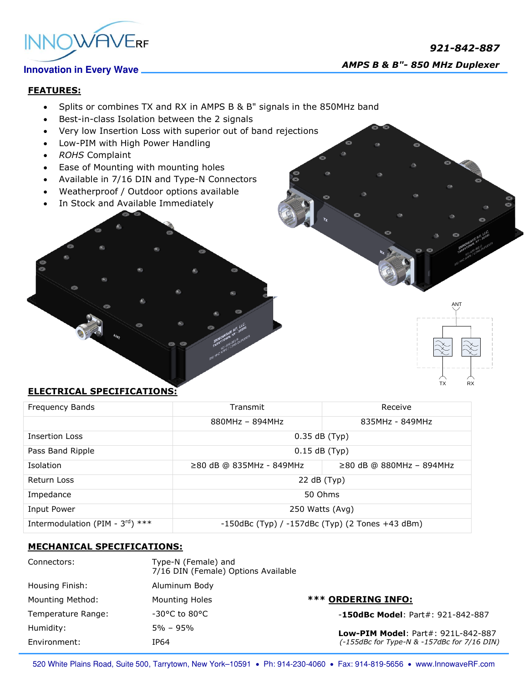# *921-842-887 AMPS B & B"- 850 MHz Duplexer*



### **FEATURES:**

- Splits or combines TX and RX in AMPS B & B" signals in the 850MHz band
- Best-in-class Isolation between the 2 signals
- Very low Insertion Loss with superior out of band rejections
- Low-PIM with High Power Handling
- *ROHS* Complaint
- Ease of Mounting with mounting holes
- Available in 7/16 DIN and Type-N Connectors
- Weatherproof / Outdoor options available
- In Stock and Available Immediately

# $RX$

ANT

## **ELECTRICAL SPECIFICATIONS:**

| Frequency Bands                              | Transmit                                              | Receive                    |
|----------------------------------------------|-------------------------------------------------------|----------------------------|
|                                              | $880MHz - 894MHz$                                     | 835MHz - 849MHz            |
| <b>Insertion Loss</b>                        | $0.35$ dB (Typ)                                       |                            |
| Pass Band Ripple                             | $0.15$ dB (Typ)                                       |                            |
| Isolation                                    | $≥80$ dB @ 835MHz - 849MHz                            | $≥80$ dB @ 880MHz - 894MHz |
| Return Loss                                  | 22 dB (Typ)                                           |                            |
| Impedance                                    | 50 Ohms                                               |                            |
| Input Power                                  | 250 Watts (Avg)                                       |                            |
| Intermodulation (PIM - $3^{\text{rd}}$ ) *** | $-150$ dBc (Typ) / $-157$ dBc (Typ) (2 Tones +43 dBm) |                            |

#### **MECHANICAL SPECIFICATIONS:**

| Connectors:             | Type-N (Female) and<br>7/16 DIN (Female) Options Available |                                                                                          |
|-------------------------|------------------------------------------------------------|------------------------------------------------------------------------------------------|
| Housing Finish:         | Aluminum Body                                              |                                                                                          |
| <b>Mounting Method:</b> | Mounting Holes                                             | <b>*** ORDERING INFO:</b>                                                                |
| Temperature Range:      | $-30^{\circ}$ C to 80°C                                    | $-150$ dBc Model: Part#: 921-842-887                                                     |
| Humidity:               | 5% – 95%                                                   | <b>Low-PIM Model: Part#: 921L-842-887</b><br>(-155dBc for Type-N & -157dBc for 7/16 DIN) |
| Environment:            | IP64                                                       |                                                                                          |